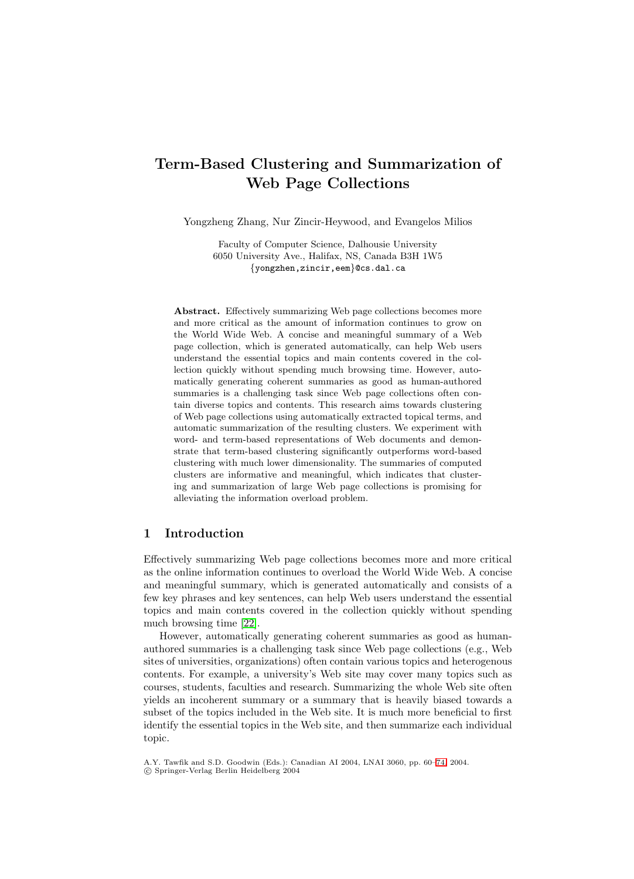# **Term-Based Clustering and Summarization of Web Page Collections**

Yongzheng Zhang, Nur Zincir-Heywood, and Evangelos Milios

Faculty of Computer Science, Dalhousie University 6050 University Ave., Halifax, NS, Canada B3H 1W5 {yongzhen,zincir,eem}@cs.dal.ca

**Abstract.** Effectively summarizing Web page collections becomes more and more critical as the amount of information continues to grow on the World Wide Web. A concise and meaningful summary of a Web page collection, which is generated automatically, can help Web users understand the essential topics and main contents covered in the collection quickly without spending much browsing time. However, automatically generating coherent summaries as good as human-authored summaries is a challenging task since Web page collections often contain diverse topics and contents. This research aims towards clustering of Web page collections using automatically extracted topical terms, and automatic summarization of the resulting clusters. We experiment with word- and term-based representations of Web documents and demonstrate that term-based clustering significantly outperforms word-based clustering with much lower dimensionality. The summaries of computed clusters are informative and meaningful, which indicates that clustering and summarization of large Web page collections is promising for alleviating the information overload problem.

## **1 Introduction**

Effectively summarizing Web page collections becomes more and more critical as the online information continues to overload the World Wide Web. A concise and meaningful summary, which is generated automatically and consists of a few key phrases and key sentences, can help Web users understand the essential topics and main contents covered in the collection quickly without spending much browsing time [\[22\]](#page-14-0).

However, automatically generating coherent summaries as good as humanauthored summaries is a challenging task since Web page collections (e.g., Web sites of universities, organizations) often contain various topics and heterogenous contents. For example, a university's Web site may cover many topics such as courses, students, faculties and research. Summarizing the whole Web site often yields an incoherent summary or a summary that is heavily biased towards a subset of the topics included in the Web site. It is much more beneficial to first identify the essential topics in the Web site, and then summarize each individual topic.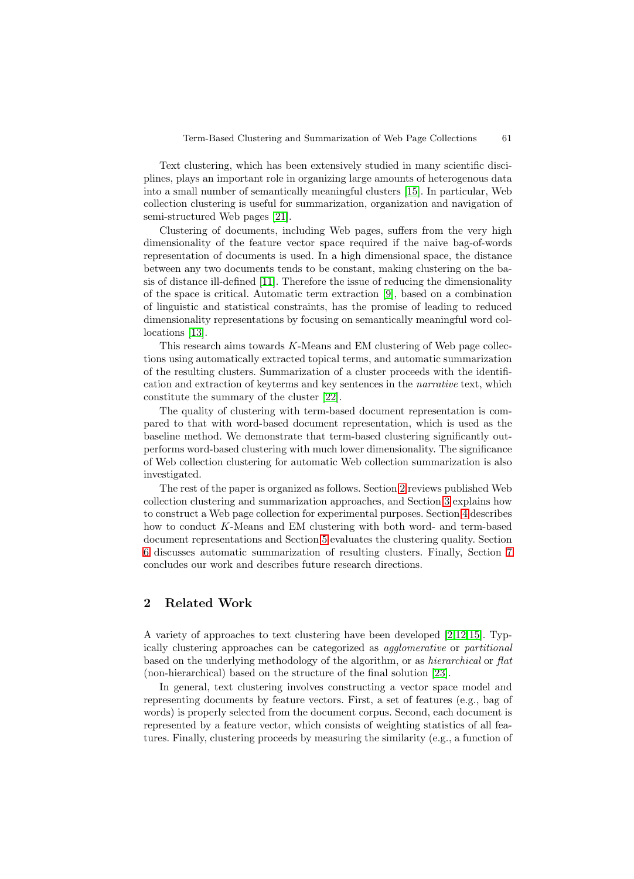<span id="page-1-0"></span>Text clustering, which has been extensively studied in many scientific disciplines, plays an important role in organizing large amounts of heterogenous data into a small number of semantically meaningful clusters [\[15\]](#page-14-0). In particular, Web collection clustering is useful for summarization, organization and navigation of semi-structured Web pages [\[21\]](#page-14-0).

Clustering of documents, including Web pages, suffers from the very high dimensionality of the feature vector space required if the naive bag-of-words representation of documents is used. In a high dimensional space, the distance between any two documents tends to be constant, making clustering on the basis of distance ill-defined [\[11\]](#page-14-0). Therefore the issue of reducing the dimensionality of the space is critical. Automatic term extraction [\[9\]](#page-14-0), based on a combination of linguistic and statistical constraints, has the promise of leading to reduced dimensionality representations by focusing on semantically meaningful word collocations [\[13\]](#page-14-0).

This research aims towards K-Means and EM clustering of Web page collections using automatically extracted topical terms, and automatic summarization of the resulting clusters. Summarization of a cluster proceeds with the identification and extraction of keyterms and key sentences in the *narrative* text, which constitute the summary of the cluster [\[22\]](#page-14-0).

The quality of clustering with term-based document representation is compared to that with word-based document representation, which is used as the baseline method. We demonstrate that term-based clustering significantly outperforms word-based clustering with much lower dimensionality. The significance of Web collection clustering for automatic Web collection summarization is also investigated.

The rest of the paper is organized as follows. Section 2 reviews published Web collection clustering and summarization approaches, and Section [3](#page-2-0) explains how to construct a Web page collection for experimental purposes. Section [4](#page-3-0) describes how to conduct K-Means and EM clustering with both word- and term-based document representations and Section [5](#page-6-0) evaluates the clustering quality. Section [6](#page-10-0) discusses automatic summarization of resulting clusters. Finally, Section [7](#page-13-0) concludes our work and describes future research directions.

## **2 Related Work**

A variety of approaches to text clustering have been developed [\[2,](#page-13-0)[12,15\]](#page-14-0). Typically clustering approaches can be categorized as *agglomerative* or *partitional* based on the underlying methodology of the algorithm, or as *hierarchical* or *flat* (non-hierarchical) based on the structure of the final solution [\[23\]](#page-14-0).

In general, text clustering involves constructing a vector space model and representing documents by feature vectors. First, a set of features (e.g., bag of words) is properly selected from the document corpus. Second, each document is represented by a feature vector, which consists of weighting statistics of all features. Finally, clustering proceeds by measuring the similarity (e.g., a function of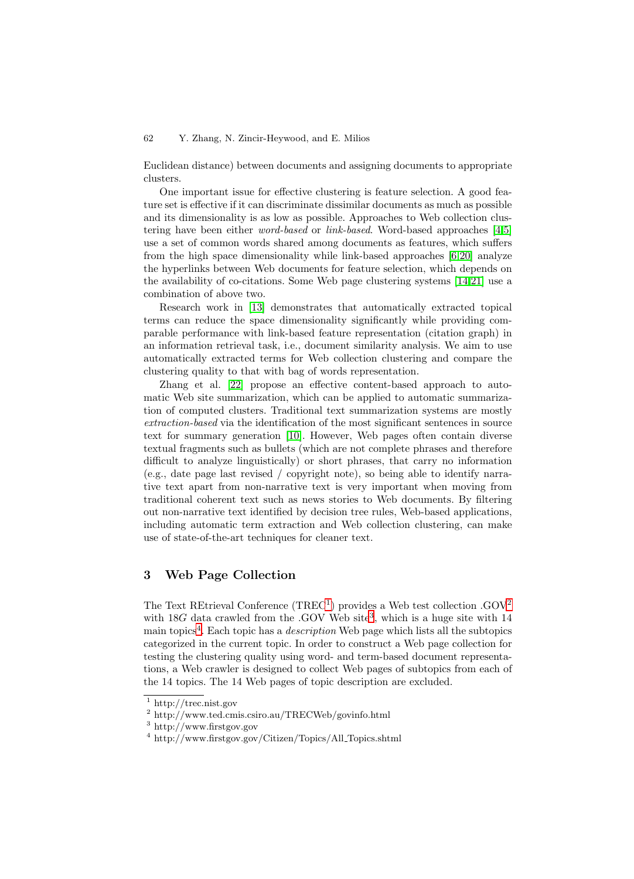<span id="page-2-0"></span>Euclidean distance) between documents and assigning documents to appropriate clusters.

One important issue for effective clustering is feature selection. A good feature set is effective if it can discriminate dissimilar documents as much as possible and its dimensionality is as low as possible. Approaches to Web collection clustering have been either *word-based* or *link-based*. Word-based approaches [\[4,5\]](#page-13-0) use a set of common words shared among documents as features, which suffers from the high space dimensionality while link-based approaches [\[6](#page-13-0)[,20\]](#page-14-0) analyze the hyperlinks between Web documents for feature selection, which depends on the availability of co-citations. Some Web page clustering systems [\[14,21\]](#page-14-0) use a combination of above two.

Research work in [\[13\]](#page-14-0) demonstrates that automatically extracted topical terms can reduce the space dimensionality significantly while providing comparable performance with link-based feature representation (citation graph) in an information retrieval task, i.e., document similarity analysis. We aim to use automatically extracted terms for Web collection clustering and compare the clustering quality to that with bag of words representation.

Zhang et al. [\[22\]](#page-14-0) propose an effective content-based approach to automatic Web site summarization, which can be applied to automatic summarization of computed clusters. Traditional text summarization systems are mostly *extraction-based* via the identification of the most significant sentences in source text for summary generation [\[10\]](#page-14-0). However, Web pages often contain diverse textual fragments such as bullets (which are not complete phrases and therefore difficult to analyze linguistically) or short phrases, that carry no information (e.g., date page last revised / copyright note), so being able to identify narrative text apart from non-narrative text is very important when moving from traditional coherent text such as news stories to Web documents. By filtering out non-narrative text identified by decision tree rules, Web-based applications, including automatic term extraction and Web collection clustering, can make use of state-of-the-art techniques for cleaner text.

## **3 Web Page Collection**

The Text REtrieval Conference  $(THEC<sup>1</sup>)$  provides a Web test collection .GOV<sup>2</sup> with  $18G$  data crawled from the .GOV Web site<sup>3</sup>, which is a huge site with 14 main topics<sup>4</sup>. Each topic has a *description* Web page which lists all the subtopics categorized in the current topic. In order to construct a Web page collection for testing the clustering quality using word- and term-based document representations, a Web crawler is designed to collect Web pages of subtopics from each of the 14 topics. The 14 Web pages of topic description are excluded.

<sup>1</sup> http://trec.nist.gov

<sup>2</sup> http://www.ted.cmis.csiro.au/TRECWeb/govinfo.html

<sup>3</sup> http://www.firstgov.gov

<sup>4</sup> http://www.firstgov.gov/Citizen/Topics/All Topics.shtml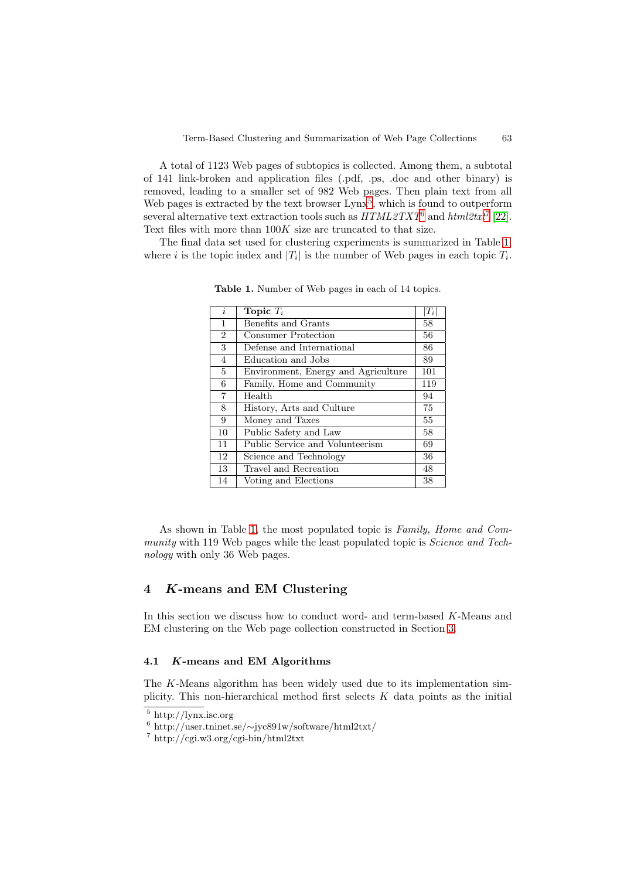<span id="page-3-0"></span>A total of 1123 Web pages of subtopics is collected. Among them, a subtotal of 141 link-broken and application files (.pdf, .ps, .doc and other binary) is removed, leading to a smaller set of 982 Web pages. Then plain text from all Web pages is extracted by the text browser  $\text{Lynx}^5$ , which is found to outperform several alternative text extraction tools such as *HTML2TXT*<sup>6</sup> and *html2txt*<sup>7</sup> [\[22\]](#page-14-0). Text files with more than  $100K$  size are truncated to that size.

The final data set used for clustering experiments is summarized in Table 1, where i is the topic index and  $|T_i|$  is the number of Web pages in each topic  $T_i$ .

| $\dot{i}$      | Topic $T_i$                         | $ T_i $ |
|----------------|-------------------------------------|---------|
| 1              | Benefits and Grants                 | 58      |
| $\overline{2}$ | <b>Consumer Protection</b>          | 56      |
| 3              | Defense and International           | 86      |
| 4              | Education and Jobs                  | 89      |
| 5              | Environment, Energy and Agriculture | 101     |
| 6              | Family, Home and Community          | 119     |
| $\overline{7}$ | Health                              | 94      |
| 8              | History, Arts and Culture           | 75      |
| 9              | Money and Taxes                     | 55      |
| 10             | Public Safety and Law               | 58      |
| 11             | Public Service and Volunteerism     | 69      |
| 12             | Science and Technology              | 36      |
| 13             | Travel and Recreation               | 48      |
| 14             | Voting and Elections                | 38      |

**Table 1.** Number of Web pages in each of 14 topics.

As shown in Table 1, the most populated topic is *Family, Home and Community* with 119 Web pages while the least populated topic is *Science and Technology* with only 36 Web pages.

## **4** *K***-means and EM Clustering**

In this section we discuss how to conduct word- and term-based K-Means and EM clustering on the Web page collection constructed in Section [3.](#page-2-0)

### **4.1** *K***-means and EM Algorithms**

The K-Means algorithm has been widely used due to its implementation simplicity. This non-hierarchical method first selects  $K$  data points as the initial

<sup>5</sup> http://lynx.isc.org

<sup>6</sup> http://user.tninet.se/∼jyc891w/software/html2txt/

<sup>7</sup> http://cgi.w3.org/cgi-bin/html2txt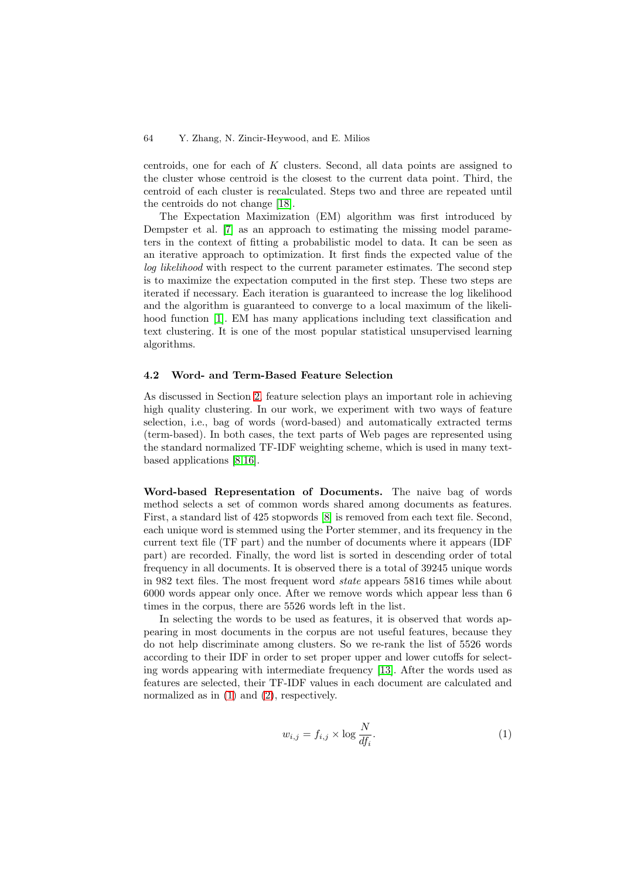centroids, one for each of K clusters. Second, all data points are assigned to the cluster whose centroid is the closest to the current data point. Third, the centroid of each cluster is recalculated. Steps two and three are repeated until the centroids do not change [\[18\]](#page-14-0).

The Expectation Maximization (EM) algorithm was first introduced by Dempster et al. [\[7\]](#page-13-0) as an approach to estimating the missing model parameters in the context of fitting a probabilistic model to data. It can be seen as an iterative approach to optimization. It first finds the expected value of the *log likelihood* with respect to the current parameter estimates. The second step is to maximize the expectation computed in the first step. These two steps are iterated if necessary. Each iteration is guaranteed to increase the log likelihood and the algorithm is guaranteed to converge to a local maximum of the likeli-hood function [\[1\]](#page-13-0). EM has many applications including text classification and text clustering. It is one of the most popular statistical unsupervised learning algorithms.

#### **4.2 Word- and Term-Based Feature Selection**

As discussed in Section [2,](#page-1-0) feature selection plays an important role in achieving high quality clustering. In our work, we experiment with two ways of feature selection, i.e., bag of words (word-based) and automatically extracted terms (term-based). In both cases, the text parts of Web pages are represented using the standard normalized TF-IDF weighting scheme, which is used in many textbased applications [\[8,16\]](#page-14-0).

**Word-based Representation of Documents.** The naive bag of words method selects a set of common words shared among documents as features. First, a standard list of 425 stopwords [\[8\]](#page-14-0) is removed from each text file. Second, each unique word is stemmed using the Porter stemmer, and its frequency in the current text file (TF part) and the number of documents where it appears (IDF part) are recorded. Finally, the word list is sorted in descending order of total frequency in all documents. It is observed there is a total of 39245 unique words in 982 text files. The most frequent word *state* appears 5816 times while about 6000 words appear only once. After we remove words which appear less than 6 times in the corpus, there are 5526 words left in the list.

In selecting the words to be used as features, it is observed that words appearing in most documents in the corpus are not useful features, because they do not help discriminate among clusters. So we re-rank the list of 5526 words according to their IDF in order to set proper upper and lower cutoffs for selecting words appearing with intermediate frequency [\[13\]](#page-14-0). After the words used as features are selected, their TF-IDF values in each document are calculated and normalized as in  $(1)$  and  $(2)$ , respectively.

$$
w_{i,j} = f_{i,j} \times \log \frac{N}{df_i}.\tag{1}
$$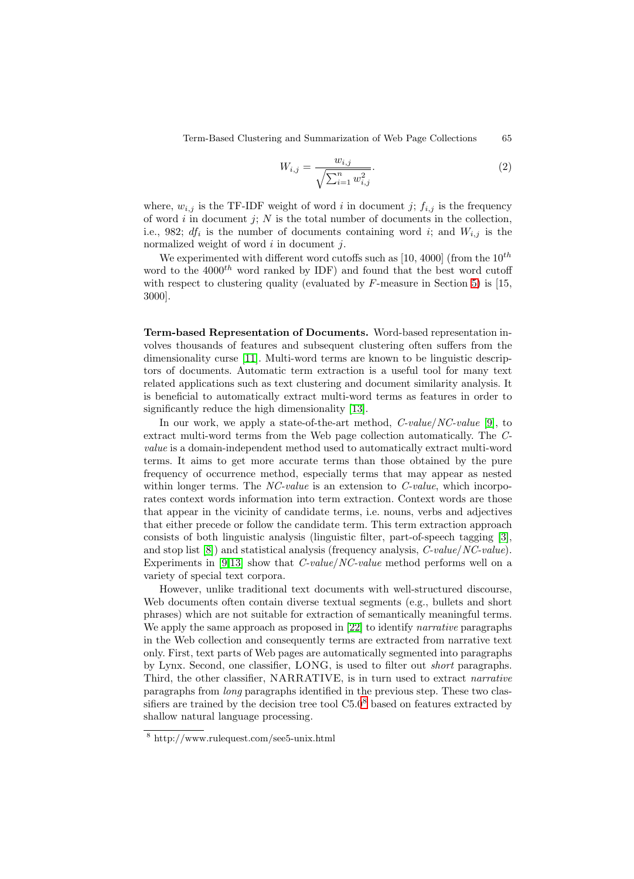$$
W_{i,j} = \frac{w_{i,j}}{\sqrt{\sum_{i=1}^{n} w_{i,j}^{2}}}.
$$
\n(2)

<span id="page-5-0"></span>where,  $w_{i,j}$  is the TF-IDF weight of word i in document j;  $f_{i,j}$  is the frequency of word  $i$  in document  $j$ ;  $N$  is the total number of documents in the collection, i.e., 982;  $df_i$  is the number of documents containing word i; and  $W_{i,j}$  is the normalized weight of word  $i$  in document  $j$ .

We experimented with different word cutoffs such as [10, 4000] (from the  $10^{th}$ word to the  $4000^{th}$  word ranked by IDF) and found that the best word cutoff with respect to clustering quality (evaluated by  $F$ -measure in Section [5\)](#page-6-0) is [15, 3000].

**Term-based Representation of Documents.** Word-based representation involves thousands of features and subsequent clustering often suffers from the dimensionality curse [\[11\]](#page-14-0). Multi-word terms are known to be linguistic descriptors of documents. Automatic term extraction is a useful tool for many text related applications such as text clustering and document similarity analysis. It is beneficial to automatically extract multi-word terms as features in order to significantly reduce the high dimensionality [\[13\]](#page-14-0).

In our work, we apply a state-of-the-art method, *C-value*/*NC-value* [\[9\]](#page-14-0), to extract multi-word terms from the Web page collection automatically. The *Cvalue* is a domain-independent method used to automatically extract multi-word terms. It aims to get more accurate terms than those obtained by the pure frequency of occurrence method, especially terms that may appear as nested within longer terms. The *NC-value* is an extension to *C-value*, which incorporates context words information into term extraction. Context words are those that appear in the vicinity of candidate terms, i.e. nouns, verbs and adjectives that either precede or follow the candidate term. This term extraction approach consists of both linguistic analysis (linguistic filter, part-of-speech tagging [\[3\]](#page-13-0), and stop list [\[8\]](#page-14-0)) and statistical analysis (frequency analysis, *C-value*/*NC-value*). Experiments in [\[9,13\]](#page-14-0) show that *C-value*/*NC-value* method performs well on a variety of special text corpora.

However, unlike traditional text documents with well-structured discourse, Web documents often contain diverse textual segments (e.g., bullets and short phrases) which are not suitable for extraction of semantically meaningful terms. We apply the same approach as proposed in [\[22\]](#page-14-0) to identify *narrative* paragraphs in the Web collection and consequently terms are extracted from narrative text only. First, text parts of Web pages are automatically segmented into paragraphs by Lynx. Second, one classifier, LONG, is used to filter out *short* paragraphs. Third, the other classifier, NARRATIVE, is in turn used to extract *narrative* paragraphs from *long* paragraphs identified in the previous step. These two classifiers are trained by the decision tree tool C5.0<sup>8</sup> based on features extracted by shallow natural language processing.

<sup>8</sup> http://www.rulequest.com/see5-unix.html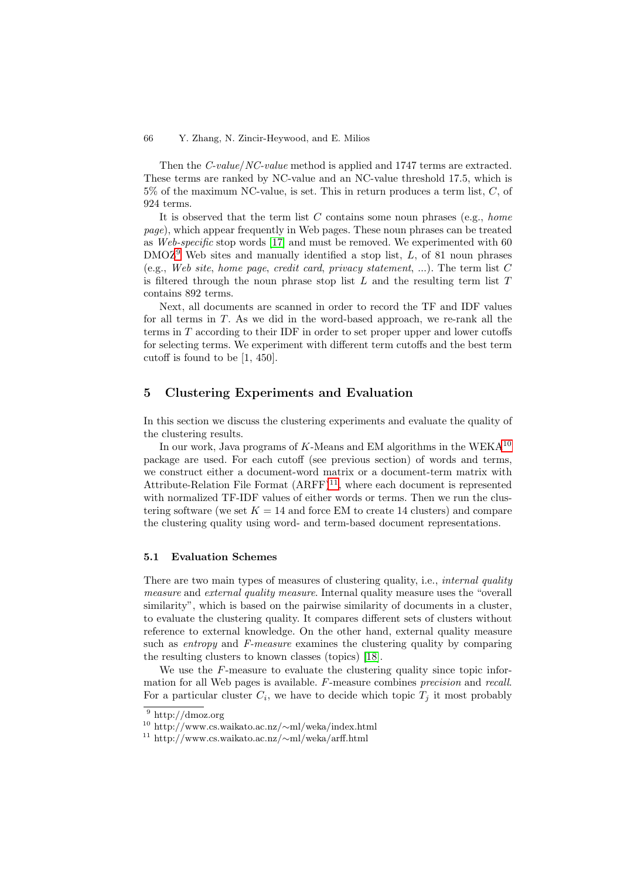<span id="page-6-0"></span>Then the *C-value*/*NC-value* method is applied and 1747 terms are extracted. These terms are ranked by NC-value and an NC-value threshold 17.5, which is  $5\%$  of the maximum NC-value, is set. This in return produces a term list, C, of 924 terms.

It is observed that the term list C contains some noun phrases (e.g., *home page*), which appear frequently in Web pages. These noun phrases can be treated as *Web-specific* stop words [\[17\]](#page-14-0) and must be removed. We experimented with 60  $DMOZ<sup>9</sup>$  Web sites and manually identified a stop list, L, of 81 noun phrases (e.g., *Web site*, *home page*, *credit card*, *privacy statement*, ...). The term list C is filtered through the noun phrase stop list  $L$  and the resulting term list  $T$ contains 892 terms.

Next, all documents are scanned in order to record the TF and IDF values for all terms in T. As we did in the word-based approach, we re-rank all the terms in T according to their IDF in order to set proper upper and lower cutoffs for selecting terms. We experiment with different term cutoffs and the best term cutoff is found to be [1, 450].

## **5 Clustering Experiments and Evaluation**

In this section we discuss the clustering experiments and evaluate the quality of the clustering results.

In our work, Java programs of K-Means and EM algorithms in the WEKA<sup>10</sup> package are used. For each cutoff (see previous section) of words and terms, we construct either a document-word matrix or a document-term matrix with Attribute-Relation File Format  $(ARFF)^{11}$ , where each document is represented with normalized TF-IDF values of either words or terms. Then we run the clustering software (we set  $K = 14$  and force EM to create 14 clusters) and compare the clustering quality using word- and term-based document representations.

## **5.1 Evaluation Schemes**

There are two main types of measures of clustering quality, i.e., *internal quality measure* and *external quality measure*. Internal quality measure uses the "overall similarity", which is based on the pairwise similarity of documents in a cluster, to evaluate the clustering quality. It compares different sets of clusters without reference to external knowledge. On the other hand, external quality measure such as *entropy* and *F-measure* examines the clustering quality by comparing the resulting clusters to known classes (topics) [\[18\]](#page-14-0).

We use the F-measure to evaluate the clustering quality since topic information for all Web pages is available. F-measure combines *precision* and *recall*. For a particular cluster  $C_i$ , we have to decide which topic  $T_i$  it most probably

<sup>9</sup> http://dmoz.org

<sup>10</sup> http://www.cs.waikato.ac.nz/∼ml/weka/index.html

<sup>11</sup> http://www.cs.waikato.ac.nz/∼ml/weka/arff.html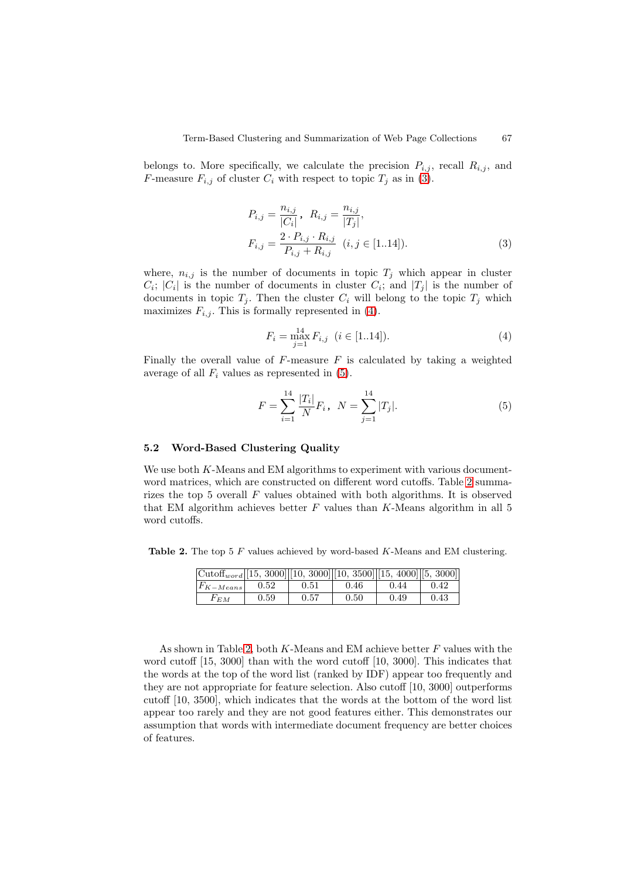<span id="page-7-0"></span>belongs to. More specifically, we calculate the precision  $P_{i,j}$ , recall  $R_{i,j}$ , and F-measure  $F_{i,j}$  of cluster  $C_i$  with respect to topic  $T_j$  as in (3).

$$
P_{i,j} = \frac{n_{i,j}}{|C_i|}, R_{i,j} = \frac{n_{i,j}}{|T_j|},
$$
  
\n
$$
F_{i,j} = \frac{2 \cdot P_{i,j} \cdot R_{i,j}}{P_{i,j} + R_{i,j}} \quad (i, j \in [1..14]).
$$
\n(3)

where,  $n_{i,j}$  is the number of documents in topic  $T_j$  which appear in cluster  $C_i$ ;  $|C_i|$  is the number of documents in cluster  $C_i$ ; and  $|T_j|$  is the number of documents in tenia  $T_i$ . Then the cluster  $C_i$  will belong to the tenia  $T_i$  which documents in topic  $T_j$ . Then the cluster  $C_i$  will belong to the topic  $T_j$  which maximizes  $F_{i,j}$ . This is formally represented in (4).

$$
F_i = \max_{j=1}^{14} F_{i,j} \quad (i \in [1..14]).
$$
 (4)

Finally the overall value of  $F$ -measure  $F$  is calculated by taking a weighted average of all  $F_i$  values as represented in  $(5)$ .

$$
F = \sum_{i=1}^{14} \frac{|T_i|}{N} F_i, \quad N = \sum_{j=1}^{14} |T_j|.
$$
 (5)

#### **5.2 Word-Based Clustering Quality**

We use both  $K$ -Means and EM algorithms to experiment with various documentword matrices, which are constructed on different word cutoffs. Table 2 summarizes the top 5 overall F values obtained with both algorithms. It is observed that EM algorithm achieves better  $F$  values than  $K$ -Means algorithm in all 5 word cutoffs.

**Table 2.** The top 5 <sup>F</sup> values achieved by word-based <sup>K</sup>-Means and EM clustering.

| $\vert$ Cutoff <sub>word</sub> $\vert$ [15, 3000] $\vert$ [10, 3000] $\vert$ [10, 3500] $\vert$ [15, 4000] $\vert$ [5, 3000] |      |      |      |      |      |
|------------------------------------------------------------------------------------------------------------------------------|------|------|------|------|------|
| $ F_{K-Means} $                                                                                                              | 0.52 | 0.51 | 0.46 | 0.44 | 0.42 |
| $F_{EM}$                                                                                                                     | 0.59 | 0.57 | 0.50 | 0.49 | 0.43 |

As shown in Table 2, both K-Means and EM achieve better F values with the word cutoff [15, 3000] than with the word cutoff [10, 3000]. This indicates that the words at the top of the word list (ranked by IDF) appear too frequently and they are not appropriate for feature selection. Also cutoff [10, 3000] outperforms cutoff [10, 3500], which indicates that the words at the bottom of the word list appear too rarely and they are not good features either. This demonstrates our assumption that words with intermediate document frequency are better choices of features.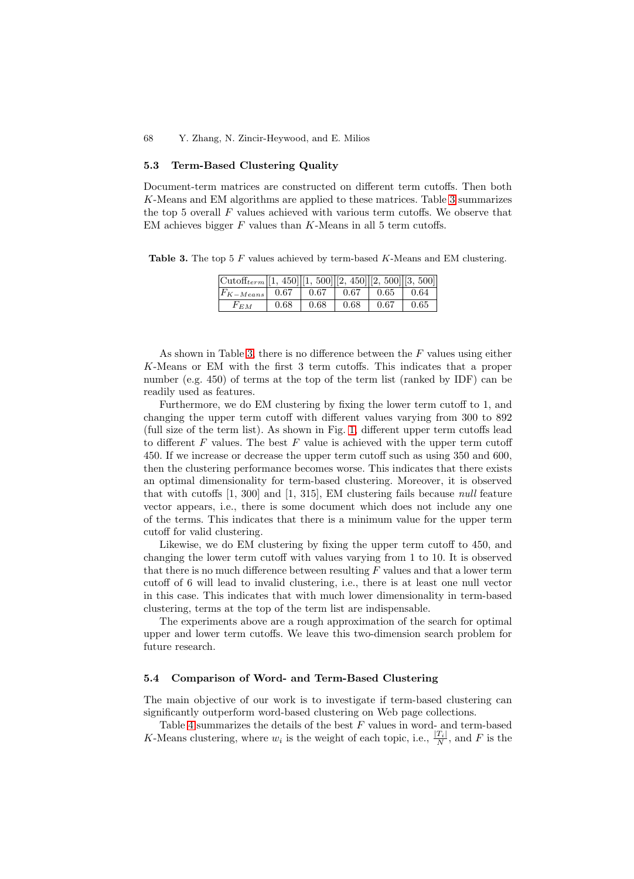#### **5.3 Term-Based Clustering Quality**

Document-term matrices are constructed on different term cutoffs. Then both K-Means and EM algorithms are applied to these matrices. Table 3 summarizes the top 5 overall  $F$  values achieved with various term cutoffs. We observe that EM achieves bigger  $F$  values than  $K$ -Means in all 5 term cutoffs.

**Table 3.** The top 5 <sup>F</sup> values achieved by term-based <sup>K</sup>-Means and EM clustering.

| $\vert \text{Cutoff}_{term} \vert \vert [1, 450] \vert [1, 500] \vert [2, 450] \vert [2, 500] \vert [3, 500] \vert$ |      |      |            |                 |      |
|---------------------------------------------------------------------------------------------------------------------|------|------|------------|-----------------|------|
| $ F_{K-Means} $ 0.67                                                                                                |      | 0.67 | $\pm 0.67$ | $0.65 \pm 0.64$ |      |
| $F_{EM}$                                                                                                            | 0.68 | 0.68 | 0.68       | 0.67            | 0.65 |

As shown in Table 3, there is no difference between the  $F$  values using either K-Means or EM with the first 3 term cutoffs. This indicates that a proper number (e.g. 450) of terms at the top of the term list (ranked by IDF) can be readily used as features.

Furthermore, we do EM clustering by fixing the lower term cutoff to 1, and changing the upper term cutoff with different values varying from 300 to 892 (full size of the term list). As shown in Fig. [1,](#page-9-0) different upper term cutoffs lead to different  $F$  values. The best  $F$  value is achieved with the upper term cutoff 450. If we increase or decrease the upper term cutoff such as using 350 and 600, then the clustering performance becomes worse. This indicates that there exists an optimal dimensionality for term-based clustering. Moreover, it is observed that with cutoffs [1, 300] and [1, 315], EM clustering fails because *null* feature vector appears, i.e., there is some document which does not include any one of the terms. This indicates that there is a minimum value for the upper term cutoff for valid clustering.

Likewise, we do EM clustering by fixing the upper term cutoff to 450, and changing the lower term cutoff with values varying from 1 to 10. It is observed that there is no much difference between resulting  $F$  values and that a lower term cutoff of 6 will lead to invalid clustering, i.e., there is at least one null vector in this case. This indicates that with much lower dimensionality in term-based clustering, terms at the top of the term list are indispensable.

The experiments above are a rough approximation of the search for optimal upper and lower term cutoffs. We leave this two-dimension search problem for future research.

#### **5.4 Comparison of Word- and Term-Based Clustering**

The main objective of our work is to investigate if term-based clustering can significantly outperform word-based clustering on Web page collections.

Table [4](#page-9-0) summarizes the details of the best F values in word- and term-based K-Means clustering, where  $w_i$  is the weight of each topic, i.e.,  $\frac{|T_i|}{N}$ , and F is the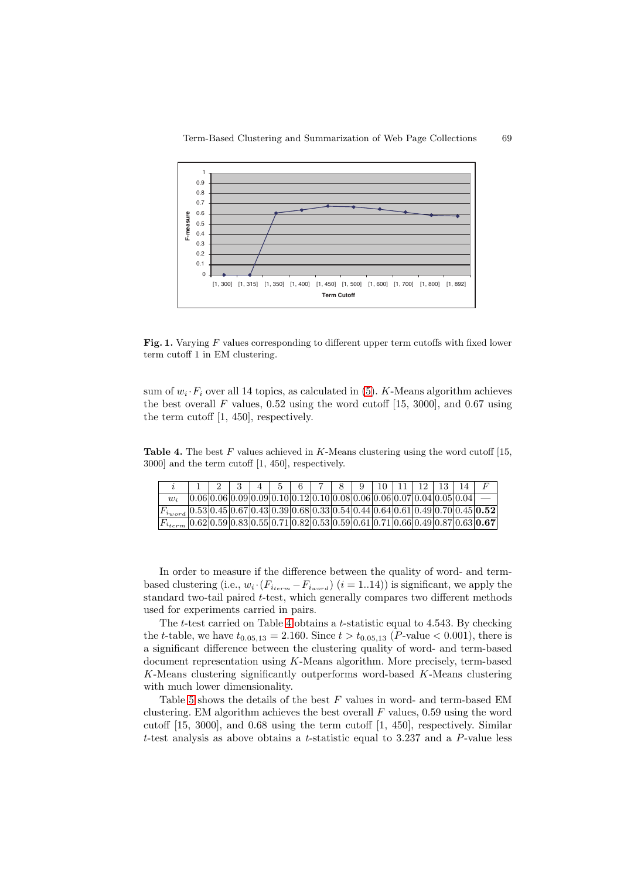<span id="page-9-0"></span>

Fig. 1. Varying F values corresponding to different upper term cutoffs with fixed lower term cutoff 1 in EM clustering.

sum of  $w_i \cdot F_i$  over all 14 topics, as calculated in [\(5\)](#page-7-0). K-Means algorithm achieves the best overall  $F$  values, 0.52 using the word cutoff [15, 3000], and 0.67 using the term cutoff [1, 450], respectively.

**Table 4.** The best F values achieved in K-Means clustering using the word cutoff [15, 3000] and the term cutoff [1, 450], respectively.

|                                                                                            |  | $-3$ |  |  | $4 \mid 5 \mid 6 \mid 7 \mid 8 \mid 9 \mid 10 \mid 11 \mid$                            |  |  | 12   13   14 |                                                                                |
|--------------------------------------------------------------------------------------------|--|------|--|--|----------------------------------------------------------------------------------------|--|--|--------------|--------------------------------------------------------------------------------|
| $w_i$                                                                                      |  |      |  |  | $[0.06] 0.06] 0.09] 0.09] 0.10] 0.12] 0.10] 0.08] 0.06] 0.06] 0.07] 0.04] 0.05] 0.04]$ |  |  |              |                                                                                |
| $F_{i_{word}}[0.53 0.45 0.67 0.43 0.39 0.68 0.33 0.54 0.44 0.64 0.61 0.49 0.70 0.45 0.52]$ |  |      |  |  |                                                                                        |  |  |              |                                                                                |
|                                                                                            |  |      |  |  |                                                                                        |  |  |              | $ 0.62 0.59 0.83 0.55 0.71 0.82 0.53 0.59 0.61 0.71 0.66 0.49 0.87 0.63 0.67 $ |
|                                                                                            |  |      |  |  |                                                                                        |  |  |              |                                                                                |

In order to measure if the difference between the quality of word- and termbased clustering (i.e.,  $w_i \cdot (F_{i_{term}} - F_{i_{word}})$  (i = 1..14)) is significant, we apply the standard two-tail paired t-test, which generally compares two different methods used for experiments carried in pairs.

The t-test carried on Table 4 obtains a t-statistic equal to 4.543. By checking the t-table, we have  $t_{0.05,13} = 2.160$ . Since  $t > t_{0.05,13}$  (P-value < 0.001), there is a significant difference between the clustering quality of word- and term-based document representation using K-Means algorithm. More precisely, term-based K-Means clustering significantly outperforms word-based K-Means clustering with much lower dimensionality.

Table [5](#page-10-0) shows the details of the best  $F$  values in word- and term-based EM clustering. EM algorithm achieves the best overall  $F$  values, 0.59 using the word cutoff  $[15, 3000]$ , and 0.68 using the term cutoff  $[1, 450]$ , respectively. Similar t-test analysis as above obtains a t-statistic equal to 3.237 and a  $P$ -value less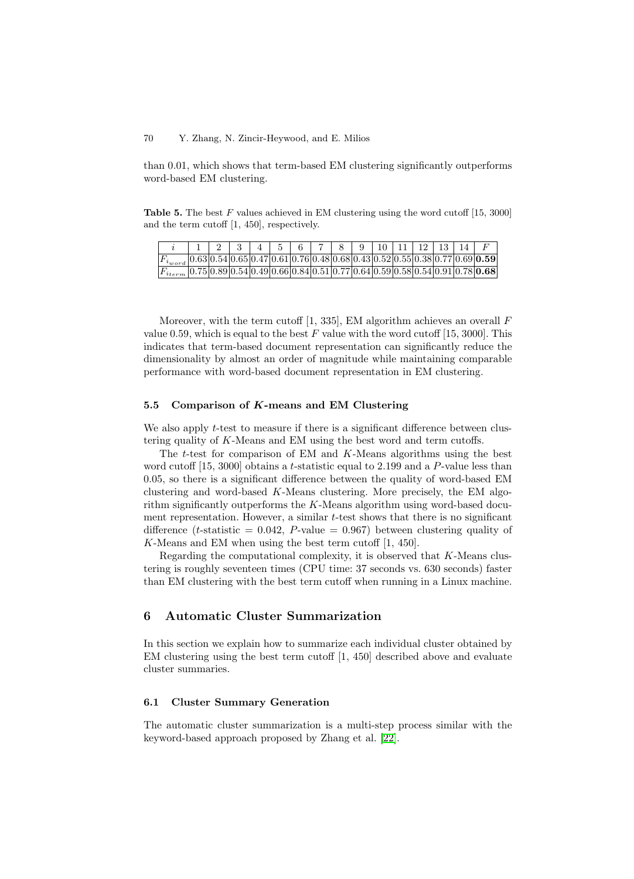<span id="page-10-0"></span>than 0.01, which shows that term-based EM clustering significantly outperforms word-based EM clustering.

**Table 5.** The best F values achieved in EM clustering using the word cutoff [15, 3000] and the term cutoff [1, 450], respectively.

|                                                                                                   | 1 1 2 3 4 5 6 7 8 9 10 11 12 13 14 F |  |  |  |  |  |  |  |
|---------------------------------------------------------------------------------------------------|--------------------------------------|--|--|--|--|--|--|--|
| $ F_{i_{word}} 0.63 0.54 0.65 0.47 0.61 0.76 0.48 0.68 0.43 0.52 0.55 0.38 0.77 0.69 {\bf 0.59} $ |                                      |  |  |  |  |  |  |  |
| $ F_{i_{term}} 0.75 0.89 0.54 0.49 0.66 0.84 0.51 0.77 0.64 0.59 0.58 0.54 0.91 0.78 0.68 $       |                                      |  |  |  |  |  |  |  |
|                                                                                                   |                                      |  |  |  |  |  |  |  |

Moreover, with the term cutoff  $[1, 335]$ , EM algorithm achieves an overall  $F$ value 0.59, which is equal to the best  $F$  value with the word cutoff [15, 3000]. This indicates that term-based document representation can significantly reduce the dimensionality by almost an order of magnitude while maintaining comparable performance with word-based document representation in EM clustering.

#### **5.5 Comparison of** *K***-means and EM Clustering**

We also apply *t*-test to measure if there is a significant difference between clustering quality of K-Means and EM using the best word and term cutoffs.

The t-test for comparison of EM and K-Means algorithms using the best word cutoff  $[15, 3000]$  obtains a t-statistic equal to 2.199 and a P-value less than 0.05, so there is a significant difference between the quality of word-based EM clustering and word-based K-Means clustering. More precisely, the EM algorithm significantly outperforms the  $K$ -Means algorithm using word-based document representation. However, a similar  $t$ -test shows that there is no significant difference (*t*-statistic = 0.042, *P*-value = 0.967) between clustering quality of K-Means and EM when using the best term cutoff [1, 450].

Regarding the computational complexity, it is observed that K-Means clustering is roughly seventeen times (CPU time: 37 seconds vs. 630 seconds) faster than EM clustering with the best term cutoff when running in a Linux machine.

## **6 Automatic Cluster Summarization**

In this section we explain how to summarize each individual cluster obtained by EM clustering using the best term cutoff [1, 450] described above and evaluate cluster summaries.

#### **6.1 Cluster Summary Generation**

The automatic cluster summarization is a multi-step process similar with the keyword-based approach proposed by Zhang et al. [\[22\]](#page-14-0).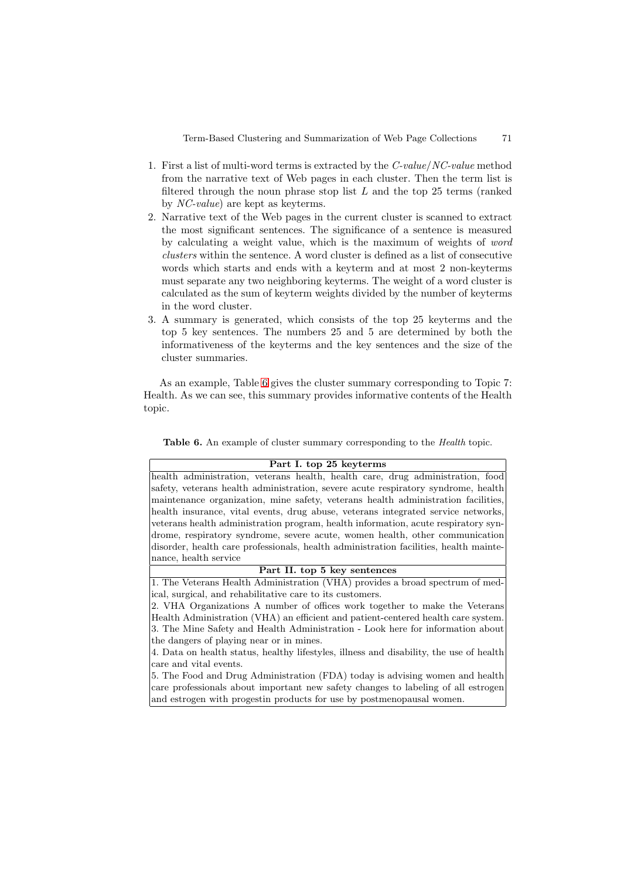- <span id="page-11-0"></span>1. First a list of multi-word terms is extracted by the *C-value*/*NC-value* method from the narrative text of Web pages in each cluster. Then the term list is filtered through the noun phrase stop list  $L$  and the top 25 terms (ranked by *NC-value*) are kept as keyterms.
- 2. Narrative text of the Web pages in the current cluster is scanned to extract the most significant sentences. The significance of a sentence is measured by calculating a weight value, which is the maximum of weights of *word clusters* within the sentence. A word cluster is defined as a list of consecutive words which starts and ends with a keyterm and at most 2 non-keyterms must separate any two neighboring keyterms. The weight of a word cluster is calculated as the sum of keyterm weights divided by the number of keyterms in the word cluster.
- 3. A summary is generated, which consists of the top 25 keyterms and the top 5 key sentences. The numbers 25 and 5 are determined by both the informativeness of the keyterms and the key sentences and the size of the cluster summaries.

As an example, Table 6 gives the cluster summary corresponding to Topic 7: Health. As we can see, this summary provides informative contents of the Health topic.

Table 6. An example of cluster summary corresponding to the *Health* topic.

health administration, veterans health, health care, drug administration, food safety, veterans health administration, severe acute respiratory syndrome, health maintenance organization, mine safety, veterans health administration facilities, health insurance, vital events, drug abuse, veterans integrated service networks, veterans health administration program, health information, acute respiratory syndrome, respiratory syndrome, severe acute, women health, other communication disorder, health care professionals, health administration facilities, health maintenance, health service

1. The Veterans Health Administration (VHA) provides a broad spectrum of medical, surgical, and rehabilitative care to its customers.

2. VHA Organizations A number of offices work together to make the Veterans Health Administration (VHA) an efficient and patient-centered health care system. 3. The Mine Safety and Health Administration - Look here for information about the dangers of playing near or in mines.

4. Data on health status, healthy lifestyles, illness and disability, the use of health care and vital events.

5. The Food and Drug Administration (FDA) today is advising women and health care professionals about important new safety changes to labeling of all estrogen and estrogen with progestin products for use by postmenopausal women.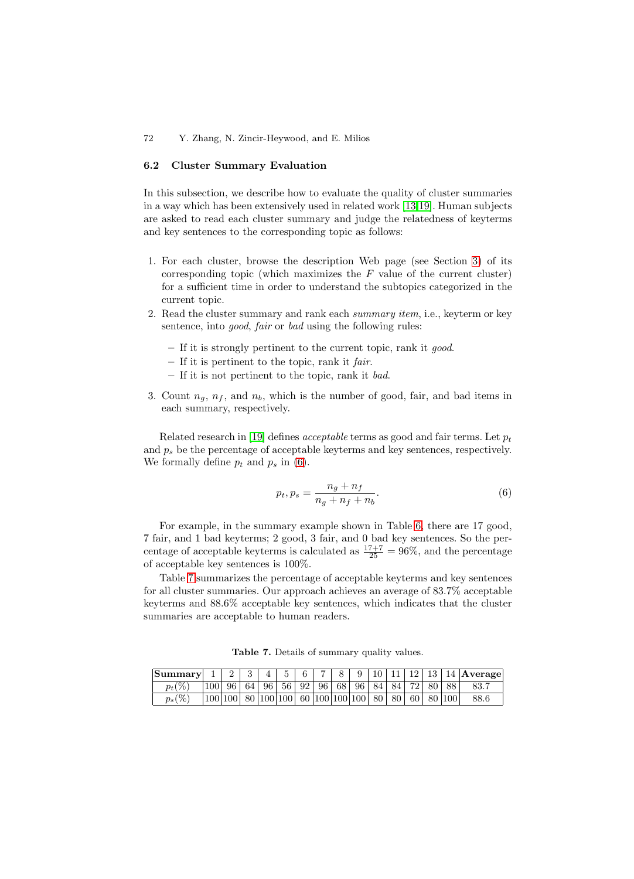#### **6.2 Cluster Summary Evaluation**

In this subsection, we describe how to evaluate the quality of cluster summaries in a way which has been extensively used in related work [\[13,19\]](#page-14-0). Human subjects are asked to read each cluster summary and judge the relatedness of keyterms and key sentences to the corresponding topic as follows:

- 1. For each cluster, browse the description Web page (see Section [3\)](#page-2-0) of its corresponding topic (which maximizes the  $F$  value of the current cluster) for a sufficient time in order to understand the subtopics categorized in the current topic.
- 2. Read the cluster summary and rank each *summary item*, i.e., keyterm or key sentence, into *good*, *fair* or *bad* using the following rules:
	- **–** If it is strongly pertinent to the current topic, rank it *good*.
	- **–** If it is pertinent to the topic, rank it *fair*.
	- **–** If it is not pertinent to the topic, rank it *bad*.
- 3. Count  $n_q$ ,  $n_f$ , and  $n_b$ , which is the number of good, fair, and bad items in each summary, respectively.

Related research in [\[19\]](#page-14-0) defines *acceptable* terms as good and fair terms. Let  $p_t$ and  $p_s$  be the percentage of acceptable keyterms and key sentences, respectively. We formally define  $p_t$  and  $p_s$  in (6).

$$
p_t, p_s = \frac{n_g + n_f}{n_g + n_f + n_b}.\tag{6}
$$

For example, in the summary example shown in Table [6,](#page-11-0) there are 17 good, 7 fair, and 1 bad keyterms; 2 good, 3 fair, and 0 bad key sentences. So the percentage of acceptable keyterms is calculated as  $\frac{17+7}{25} = 96\%$ , and the percentage of acceptable key sentences is 100%.

Table 7 summarizes the percentage of acceptable keyterms and key sentences for all cluster summaries. Our approach achieves an average of 83.7% acceptable keyterms and 88.6% acceptable key sentences, which indicates that the cluster summaries are acceptable to human readers.

| Summary   |                                                                        | 3 | 4 | $-5$ | 6 | 8 |  |  |  | 9   10   11   12   13   14   Average |
|-----------|------------------------------------------------------------------------|---|---|------|---|---|--|--|--|--------------------------------------|
| $p_t(\%)$ | $ 100 $ 96   64   96   56   92   96   68   96   84   84   72   80   88 |   |   |      |   |   |  |  |  | 83.7                                 |
| $p_s(\%)$ | $ 100 100 $ 80 $ 100 100 $ 60 $ 100 100 100 $ 80   80   60   80   100  |   |   |      |   |   |  |  |  | 88.6                                 |

**Table 7.** Details of summary quality values.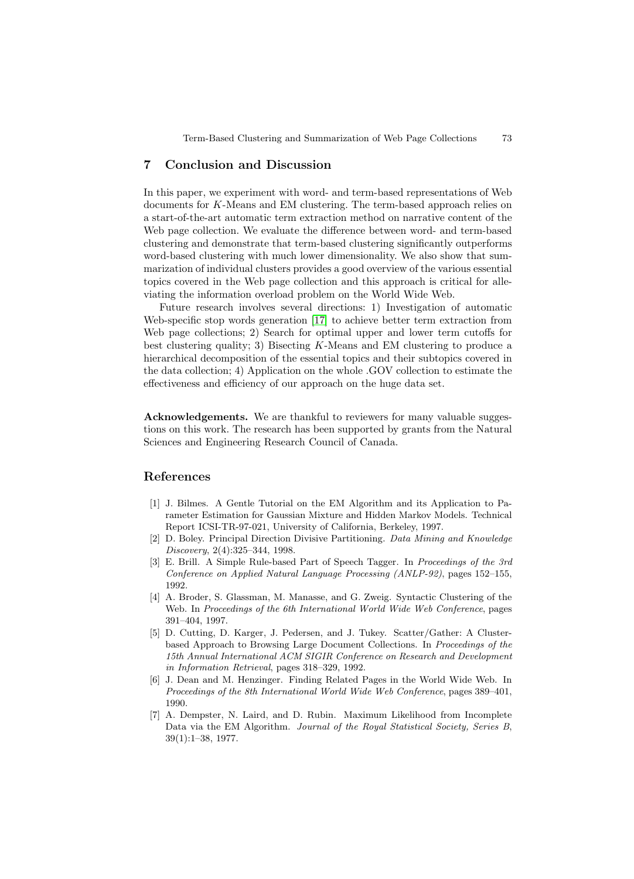## <span id="page-13-0"></span>**7 Conclusion and Discussion**

In this paper, we experiment with word- and term-based representations of Web documents for K-Means and EM clustering. The term-based approach relies on a start-of-the-art automatic term extraction method on narrative content of the Web page collection. We evaluate the difference between word- and term-based clustering and demonstrate that term-based clustering significantly outperforms word-based clustering with much lower dimensionality. We also show that summarization of individual clusters provides a good overview of the various essential topics covered in the Web page collection and this approach is critical for alleviating the information overload problem on the World Wide Web.

Future research involves several directions: 1) Investigation of automatic Web-specific stop words generation [\[17\]](#page-14-0) to achieve better term extraction from Web page collections; 2) Search for optimal upper and lower term cutoffs for best clustering quality; 3) Bisecting K-Means and EM clustering to produce a hierarchical decomposition of the essential topics and their subtopics covered in the data collection; 4) Application on the whole .GOV collection to estimate the effectiveness and efficiency of our approach on the huge data set.

**Acknowledgements.** We are thankful to reviewers for many valuable suggestions on this work. The research has been supported by grants from the Natural Sciences and Engineering Research Council of Canada.

## **References**

- [1] J. Bilmes. A Gentle Tutorial on the EM Algorithm and its Application to Parameter Estimation for Gaussian Mixture and Hidden Markov Models. Technical Report ICSI-TR-97-021, University of California, Berkeley, 1997.
- [2] D. Boley. Principal Direction Divisive Partitioning. Data Mining and Knowledge Discovery, 2(4):325–344, 1998.
- [3] E. Brill. A Simple Rule-based Part of Speech Tagger. In Proceedings of the 3rd Conference on Applied Natural Language Processing (ANLP-92), pages 152–155, 1992.
- [4] A. Broder, S. Glassman, M. Manasse, and G. Zweig. Syntactic Clustering of the Web. In Proceedings of the 6th International World Wide Web Conference, pages 391–404, 1997.
- [5] D. Cutting, D. Karger, J. Pedersen, and J. Tukey. Scatter/Gather: A Clusterbased Approach to Browsing Large Document Collections. In Proceedings of the 15th Annual International ACM SIGIR Conference on Research and Development in Information Retrieval, pages 318–329, 1992.
- [6] J. Dean and M. Henzinger. Finding Related Pages in the World Wide Web. In Proceedings of the 8th International World Wide Web Conference, pages 389–401, 1990.
- [7] A. Dempster, N. Laird, and D. Rubin. Maximum Likelihood from Incomplete Data via the EM Algorithm. Journal of the Royal Statistical Society, Series B, 39(1):1–38, 1977.